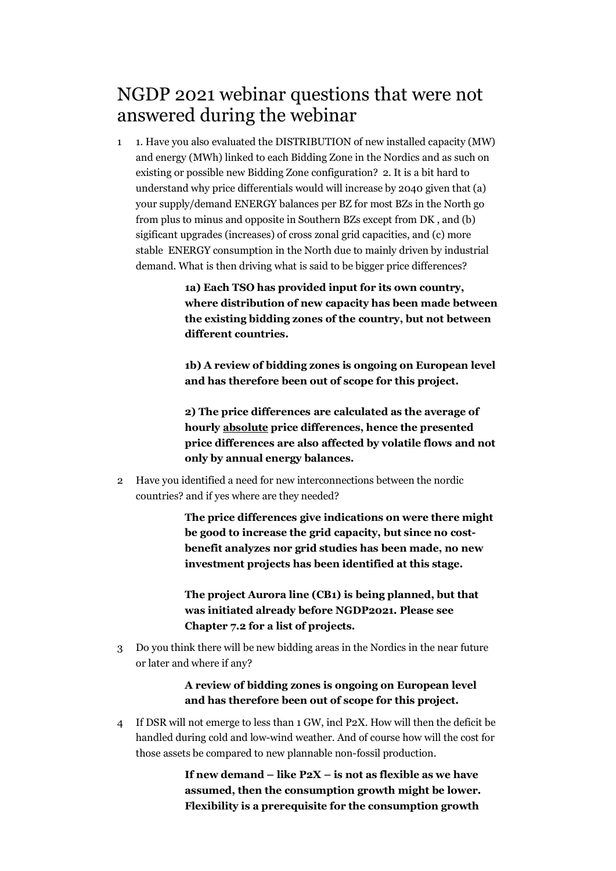## NGDP 2021 webinar questions that were not answered during the webinar

1 1. Have you also evaluated the DISTRIBUTION of new installed capacity (MW) and energy (MWh) linked to each Bidding Zone in the Nordics and as such on existing or possible new Bidding Zone configuration? 2. It is a bit hard to understand why price differentials would will increase by 2040 given that (a) your supply/demand ENERGY balances per BZ for most BZs in the North go from plus to minus and opposite in Southern BZs except from DK , and (b) sigificant upgrades (increases) of cross zonal grid capacities, and (c) more stable ENERGY consumption in the North due to mainly driven by industrial demand. What is then driving what is said to be bigger price differences?

> **1a) Each TSO has provided input for its own country, where distribution of new capacity has been made between the existing bidding zones of the country, but not between different countries.**

> **1b) A review of bidding zones is ongoing on European level and has therefore been out of scope for this project.**

> **2) The price differences are calculated as the average of hourly absolute price differences, hence the presented price differences are also affected by volatile flows and not only by annual energy balances.**

2 Have you identified a need for new interconnections between the nordic countries? and if yes where are they needed?

> **The price differences give indications on were there might be good to increase the grid capacity, but since no costbenefit analyzes nor grid studies has been made, no new investment projects has been identified at this stage.**

**The project Aurora line (CB1) is being planned, but that was initiated already before NGDP2021. Please see Chapter 7.2 for a list of projects.**

3 Do you think there will be new bidding areas in the Nordics in the near future or later and where if any?

## **A review of bidding zones is ongoing on European level and has therefore been out of scope for this project.**

4 If DSR will not emerge to less than 1 GW, incl P2X. How will then the deficit be handled during cold and low-wind weather. And of course how will the cost for those assets be compared to new plannable non-fossil production.

> **If new demand – like P2X – is not as flexible as we have assumed, then the consumption growth might be lower. Flexibility is a prerequisite for the consumption growth**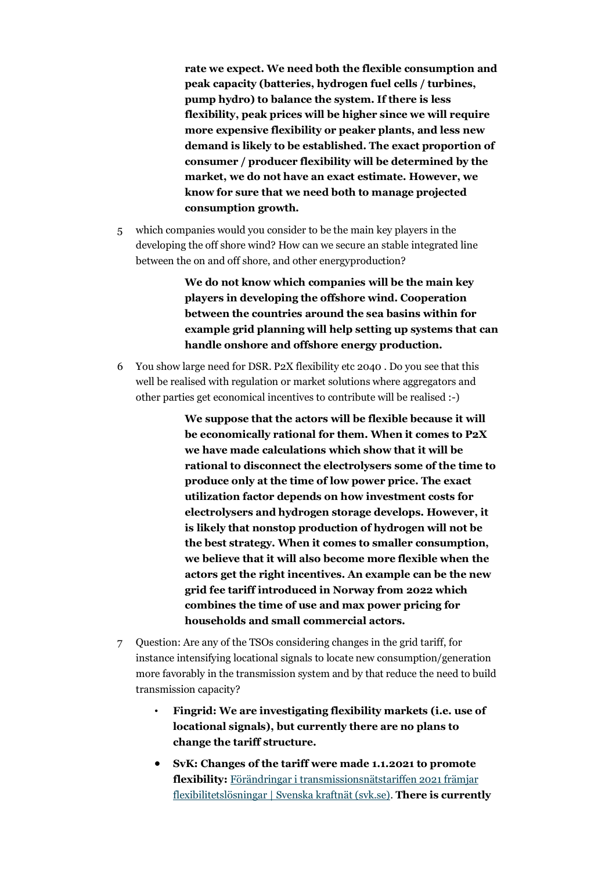**rate we expect. We need both the flexible consumption and peak capacity (batteries, hydrogen fuel cells / turbines, pump hydro) to balance the system. If there is less flexibility, peak prices will be higher since we will require more expensive flexibility or peaker plants, and less new demand is likely to be established. The exact proportion of consumer / producer flexibility will be determined by the market, we do not have an exact estimate. However, we know for sure that we need both to manage projected consumption growth.**

5 which companies would you consider to be the main key players in the developing the off shore wind? How can we secure an stable integrated line between the on and off shore, and other energyproduction?

> **We do not know which companies will be the main key players in developing the offshore wind. Cooperation between the countries around the sea basins within for example grid planning will help setting up systems that can handle onshore and offshore energy production.**

6 You show large need for DSR. P2X flexibility etc 2040 . Do you see that this well be realised with regulation or market solutions where aggregators and other parties get economical incentives to contribute will be realised :-)

> **We suppose that the actors will be flexible because it will be economically rational for them. When it comes to P2X we have made calculations which show that it will be rational to disconnect the electrolysers some of the time to produce only at the time of low power price. The exact utilization factor depends on how investment costs for electrolysers and hydrogen storage develops. However, it is likely that nonstop production of hydrogen will not be the best strategy. When it comes to smaller consumption, we believe that it will also become more flexible when the actors get the right incentives. An example can be the new grid fee tariff introduced in Norway from 2022 which combines the time of use and max power pricing for households and small commercial actors.**

- 7 Question: Are any of the TSOs considering changes in the grid tariff, for instance intensifying locational signals to locate new consumption/generation more favorably in the transmission system and by that reduce the need to build transmission capacity?
	- **Fingrid: We are investigating flexibility markets (i.e. use of locational signals), but currently there are no plans to change the tariff structure.**
	- **SvK: Changes of the tariff were made 1.1.2021 to promote flexibility:** [Förändringar i transmissionsnätstariffen 2021 främjar](https://www.svk.se/press-och-nyheter/nyheter/allmanna-nyheter/2020/forandringar-i-transmissionsnatstariffen-2021-framjar-flexibilitetslosningar/)  [flexibilitetslösningar | Svenska kraftnät \(svk.se\).](https://www.svk.se/press-och-nyheter/nyheter/allmanna-nyheter/2020/forandringar-i-transmissionsnatstariffen-2021-framjar-flexibilitetslosningar/) **There is currently**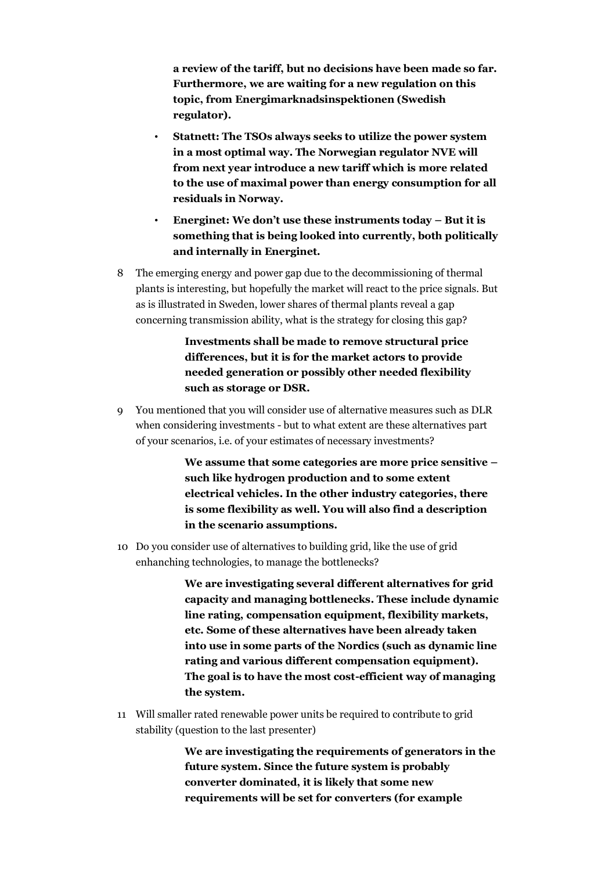**a review of the tariff, but no decisions have been made so far. Furthermore, we are waiting for a new regulation on this topic, from Energimarknadsinspektionen (Swedish regulator).**

- **Statnett: The TSOs always seeks to utilize the power system in a most optimal way. The Norwegian regulator NVE will from next year introduce a new tariff which is more related to the use of maximal power than energy consumption for all residuals in Norway.**
- **Energinet: We don't use these instruments today – But it is something that is being looked into currently, both politically and internally in Energinet.**
- 8 The emerging energy and power gap due to the decommissioning of thermal plants is interesting, but hopefully the market will react to the price signals. But as is illustrated in Sweden, lower shares of thermal plants reveal a gap concerning transmission ability, what is the strategy for closing this gap?

**Investments shall be made to remove structural price differences, but it is for the market actors to provide needed generation or possibly other needed flexibility such as storage or DSR.**

9 You mentioned that you will consider use of alternative measures such as DLR when considering investments - but to what extent are these alternatives part of your scenarios, i.e. of your estimates of necessary investments?

> **We assume that some categories are more price sensitive – such like hydrogen production and to some extent electrical vehicles. In the other industry categories, there is some flexibility as well. You will also find a description in the scenario assumptions.**

10 Do you consider use of alternatives to building grid, like the use of grid enhanching technologies, to manage the bottlenecks?

> **We are investigating several different alternatives for grid capacity and managing bottlenecks. These include dynamic line rating, compensation equipment, flexibility markets, etc. Some of these alternatives have been already taken into use in some parts of the Nordics (such as dynamic line rating and various different compensation equipment). The goal is to have the most cost-efficient way of managing the system.**

11 Will smaller rated renewable power units be required to contribute to grid stability (question to the last presenter)

> **We are investigating the requirements of generators in the future system. Since the future system is probably converter dominated, it is likely that some new requirements will be set for converters (for example**